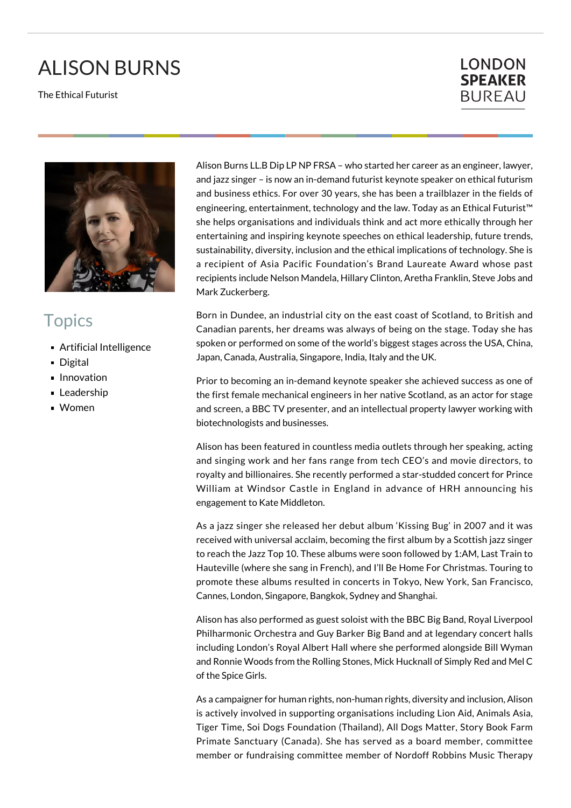## ALISON BURNS

The Ethical Futurist





## **Topics**

- **Artificial Intelligence**
- Digital
- **Innovation**
- **Leadership**
- Women

Alison Burns LL.B Dip LP NP FRSA – who started her career as an engineer, lawyer, and jazz singer – is now an in-demand futurist keynote speaker on ethical futurism and business ethics. For over 30 years, she has been a trailblazer in the fields of engineering, entertainment, technology and the law. Today as an Ethical Futurist™ she helps organisations and individuals think and act more ethically through her entertaining and inspiring keynote speeches on ethical leadership, future trends, sustainability, diversity, inclusion and the ethical implications of technology. She is a recipient of Asia Pacific Foundation's Brand Laureate Award whose past recipients include Nelson Mandela, Hillary Clinton, Aretha Franklin, Steve Jobs and Mark Zuckerberg.

Born in Dundee, an industrial city on the east coast of Scotland, to British and Canadian parents, her dreams was always of being on the stage. Today she has spoken or performed on some of the world's biggest stages across the USA, China, Japan, Canada, Australia, Singapore, India, Italy and the UK.

Prior to becoming an in-demand keynote speaker she achieved success as one of the first female mechanical engineers in her native Scotland, as an actor for stage and screen, a BBC TV presenter, and an intellectual property lawyer working with biotechnologists and businesses.

Alison has been featured in countless media outlets through her speaking, acting and singing work and her fans range from tech CEO's and movie directors, to royalty and billionaires. She recently performed a star-studded concert for Prince William at Windsor Castle in England in advance of HRH announcing his engagement to Kate Middleton.

As a jazz singer she released her debut album 'Kissing Bug' in 2007 and it was received with universal acclaim, becoming the first album by a Scottish jazz singer to reach the Jazz Top 10. These albums were soon followed by 1:AM, Last Train to Hauteville (where she sang in French), and I'll Be Home For Christmas. Touring to promote these albums resulted in concerts in Tokyo, New York, San Francisco, Cannes, London, Singapore, Bangkok, Sydney and Shanghai.

Alison has also performed as guest soloist with the BBC Big Band, Royal Liverpool Philharmonic Orchestra and Guy Barker Big Band and at legendary concert halls including London's Royal Albert Hall where she performed alongside Bill Wyman and Ronnie Woods from the Rolling Stones, Mick Hucknall of Simply Red and Mel C of the Spice Girls.

As a campaigner for human rights, non-human rights, diversity and inclusion, Alison is actively involved in supporting organisations including Lion Aid, Animals Asia, Tiger Time, Soi Dogs Foundation (Thailand), All Dogs Matter, Story Book Farm Primate Sanctuary (Canada). She has served as a board member, committee member or fundraising committee member of Nordoff Robbins Music Therapy